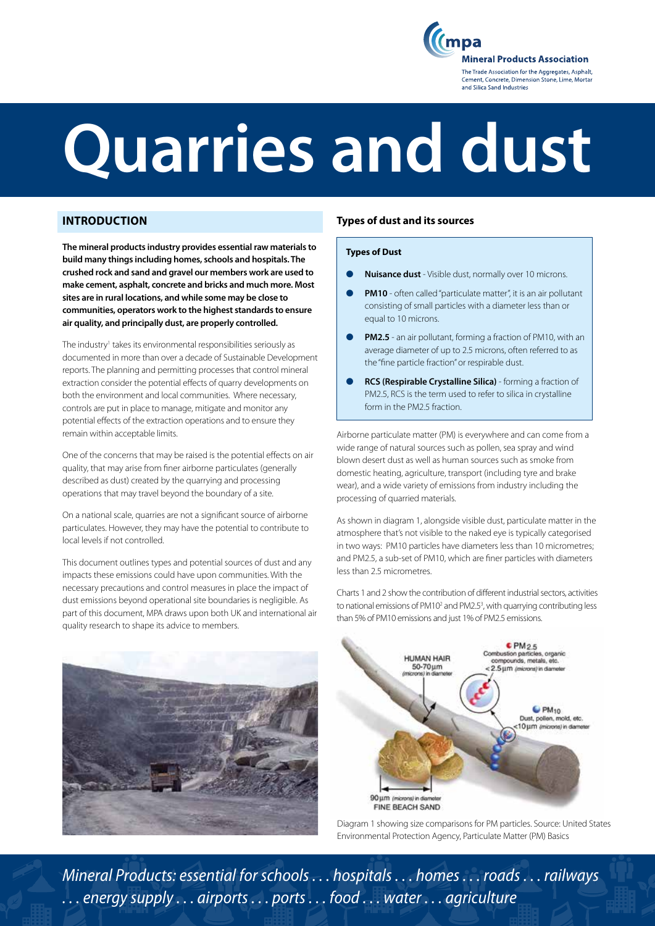mpa **Mineral Products Association** The Trade Association for the Aggregates, Asphalt, Cement, Concrete, Dimension Stone, Lime, Mortar and Silica Sand Industries

# **Quarries and dust**

## **INTRODUCTION**

**The mineral products industry provides essential raw materials to build many things including homes, schools and hospitals. The crushed rock and sand and gravel our members work are used to make cement, asphalt, concrete and bricks and much more. Most sites are in rural locations, and while some may be close to communities, operators work to the highest standards to ensure air quality, and principally dust, are properly controlled.** 

The industry<sup>1</sup> takes its environmental responsibilities seriously as documented in more than over a decade of Sustainable Development reports. The planning and permitting processes that control mineral extraction consider the potential effects of quarry developments on both the environment and local communities. Where necessary, controls are put in place to manage, mitigate and monitor any potential effects of the extraction operations and to ensure they remain within acceptable limits.

One of the concerns that may be raised is the potential effects on air quality, that may arise from finer airborne particulates (generally described as dust) created by the quarrying and processing operations that may travel beyond the boundary of a site.

On a national scale, quarries are not a significant source of airborne particulates. However, they may have the potential to contribute to local levels if not controlled.

This document outlines types and potential sources of dust and any impacts these emissions could have upon communities. With the necessary precautions and control measures in place the impact of dust emissions beyond operational site boundaries is negligible. As part of this document, MPA draws upon both UK and international air quality research to shape its advice to members.



### **Types of dust and its sources**

### **Types of Dust**

- l **Nuisance dust** Visible dust, normally over 10 microns.
- **PM10** often called "particulate matter", it is an air pollutant consisting of small particles with a diameter less than or equal to 10 microns.
- **PM2.5** an air pollutant, forming a fraction of PM10, with an average diameter of up to 2.5 microns, often referred to as the "fine particle fraction" or respirable dust.
- l **RCS (Respirable Crystalline Silica)** forming a fraction of PM2.5, RCS is the term used to refer to silica in crystalline form in the PM2.5 fraction.

Airborne particulate matter (PM) is everywhere and can come from a wide range of natural sources such as pollen, sea spray and wind blown desert dust as well as human sources such as smoke from domestic heating, agriculture, transport (including tyre and brake wear), and a wide variety of emissions from industry including the processing of quarried materials.

As shown in diagram 1, alongside visible dust, particulate matter in the atmosphere that's not visible to the naked eye is typically categorised in two ways: PM10 particles have diameters less than 10 micrometres; and PM2.5, a sub-set of PM10, which are finer particles with diameters less than 2.5 micrometres.

Charts 1 and 2 show the contribution of different industrial sectors, activities to national emissions of PM10<sup>2</sup> and PM2.5<sup>3</sup>, with quarrying contributing less than 5% of PM10 emissions and just 1% of PM2.5 emissions.



Diagram 1 showing size comparisons for PM particles. Source: United States Environmental Protection Agency, Particulate Matter (PM) Basics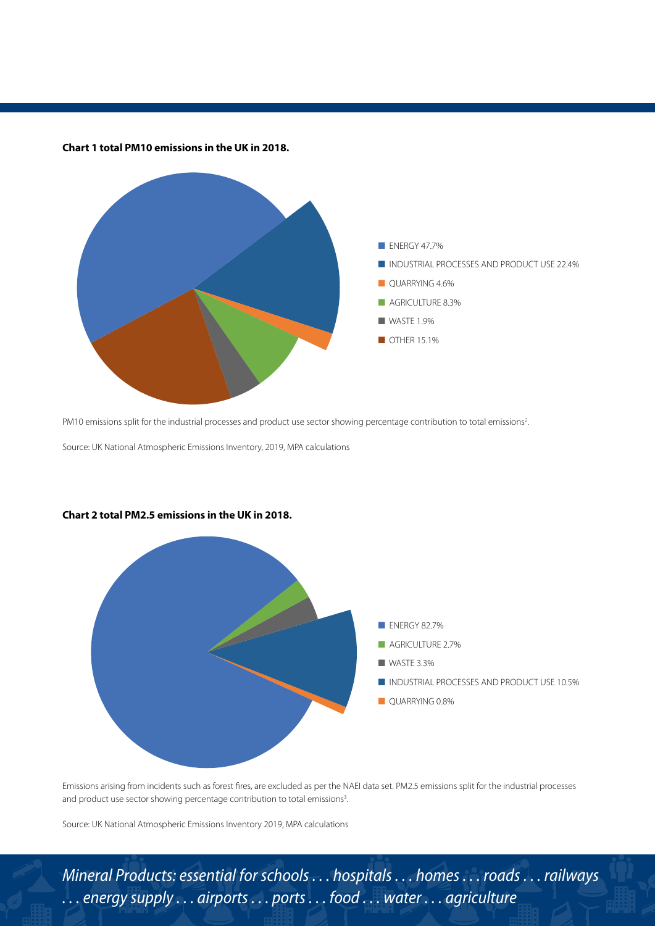

**Chart 1 total PM10 emissions in the UK in 2018.** 

PM10 emissions split for the industrial processes and product use sector showing percentage contribution to total emissions<sup>2</sup>.

Source: UK National Atmospheric Emissions Inventory, 2019, MPA calculations



### **Chart 2 total PM2.5 emissions in the UK in 2018.**

Emissions arising from incidents such as forest fires, are excluded as per the NAEI data set. PM2.5 emissions split for the industrial processes and product use sector showing percentage contribution to total emissions<sup>3</sup>.

Source: UK National Atmospheric Emissions Inventory 2019, MPA calculations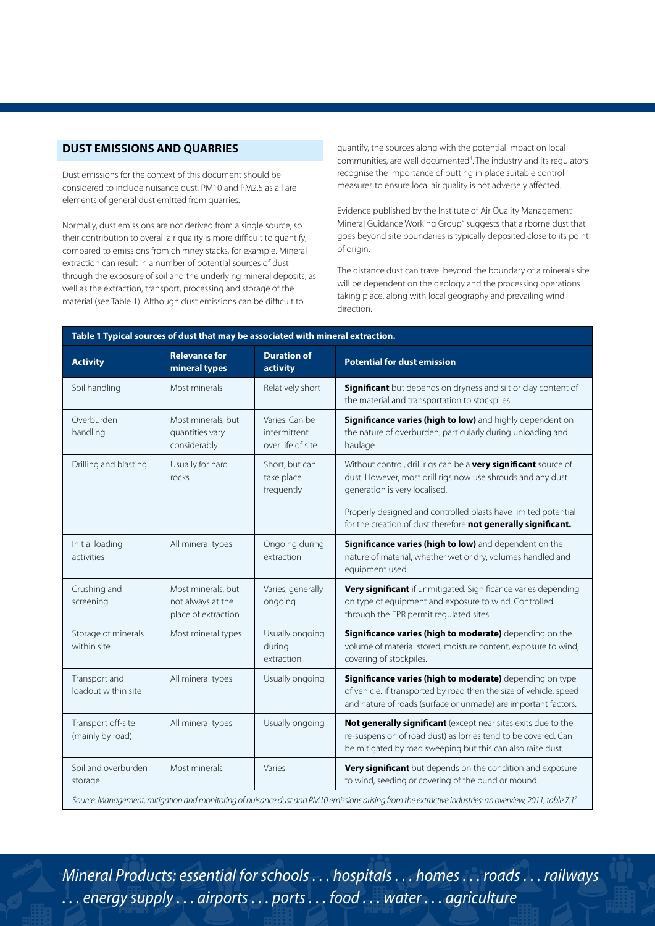### **DUST EMISSIONS AND QUARRIES**

Dust emissions for the context of this document should be considered to include nuisance dust, PM10 and PM2.5 as all are elements of general dust emitted from quarries.

Normally, dust emissions are not derived from a single source, so their contribution to overall air quality is more difficult to quantify, compared to emissions from chimney stacks, for example. Mineral extraction can result in a number of potential sources of dust through the exposure of soil and the underlying mineral deposits, as well as the extraction, transport, processing and storage of the material (see Table 1). Although dust emissions can be difficult to

quantify, the sources along with the potential impact on local communities, are well documented<sup>4</sup>. The industry and its regulators recognise the importance of putting in place suitable control measures to ensure local air quality is not adversely affected.

Evidence published by the Institute of Air Quality Management Mineral Guidance Working Group<sup>5</sup> suggests that airborne dust that goes beyond site boundaries is typically deposited close to its point of origin.

The distance dust can travel beyond the boundary of a minerals site will be dependent on the geology and the processing operations taking place, along with local geography and prevailing wind direction.

| Table 1 Typical sources of dust that may be associated with mineral extraction. |                                                                |                                                     |                                                                                                                                                                                                  |  |  |
|---------------------------------------------------------------------------------|----------------------------------------------------------------|-----------------------------------------------------|--------------------------------------------------------------------------------------------------------------------------------------------------------------------------------------------------|--|--|
| <b>Activity</b>                                                                 | <b>Relevance for</b><br>mineral types                          | <b>Duration of</b><br>activity                      | <b>Potential for dust emission</b>                                                                                                                                                               |  |  |
| Soil handling                                                                   | Most minerals                                                  | Relatively short                                    | Significant but depends on dryness and silt or clay content of<br>the material and transportation to stockpiles.                                                                                 |  |  |
| Overburden<br>handling                                                          | Most minerals, but<br>quantities vary<br>considerably          | Varies. Can be<br>intermittent<br>over life of site | Significance varies (high to low) and highly dependent on<br>the nature of overburden, particularly during unloading and<br>haulage                                                              |  |  |
| Drilling and blasting                                                           | Usually for hard<br>rocks                                      | Short, but can<br>take place<br>frequently          | Without control, drill rigs can be a very significant source of<br>dust. However, most drill rigs now use shrouds and any dust<br>generation is very localised.                                  |  |  |
|                                                                                 |                                                                |                                                     | Properly designed and controlled blasts have limited potential<br>for the creation of dust therefore not generally significant.                                                                  |  |  |
| Initial loading<br>activities                                                   | All mineral types                                              | Ongoing during<br>extraction                        | Significance varies (high to low) and dependent on the<br>nature of material, whether wet or dry, volumes handled and<br>equipment used.                                                         |  |  |
| Crushing and<br>screening                                                       | Most minerals, but<br>not always at the<br>place of extraction | Varies, generally<br>ongoing                        | Very significant if unmitigated. Significance varies depending<br>on type of equipment and exposure to wind. Controlled<br>through the EPR permit regulated sites.                               |  |  |
| Storage of minerals<br>within site                                              | Most mineral types                                             | Usually ongoing<br>during<br>extraction             | Significance varies (high to moderate) depending on the<br>volume of material stored, moisture content, exposure to wind,<br>covering of stockpiles.                                             |  |  |
| Transport and<br>loadout within site                                            | All mineral types                                              | Usually ongoing                                     | Significance varies (high to moderate) depending on type<br>of vehicle. if transported by road then the size of vehicle, speed<br>and nature of roads (surface or unmade) are important factors. |  |  |
| Transport off-site<br>(mainly by road)                                          | All mineral types                                              | Usually ongoing                                     | Not generally significant (except near sites exits due to the<br>re-suspension of road dust) as lorries tend to be covered. Can<br>be mitigated by road sweeping but this can also raise dust.   |  |  |
| Soil and overburden<br>storage                                                  | Most minerals                                                  | Varies                                              | Very significant but depends on the condition and exposure<br>to wind, seeding or covering of the bund or mound.                                                                                 |  |  |
|                                                                                 |                                                                |                                                     | Source: Management, mitigation and monitoring of nuisance dust and PM10 emissions arising from the extractive industries: an overview, 2011, table 7.17                                          |  |  |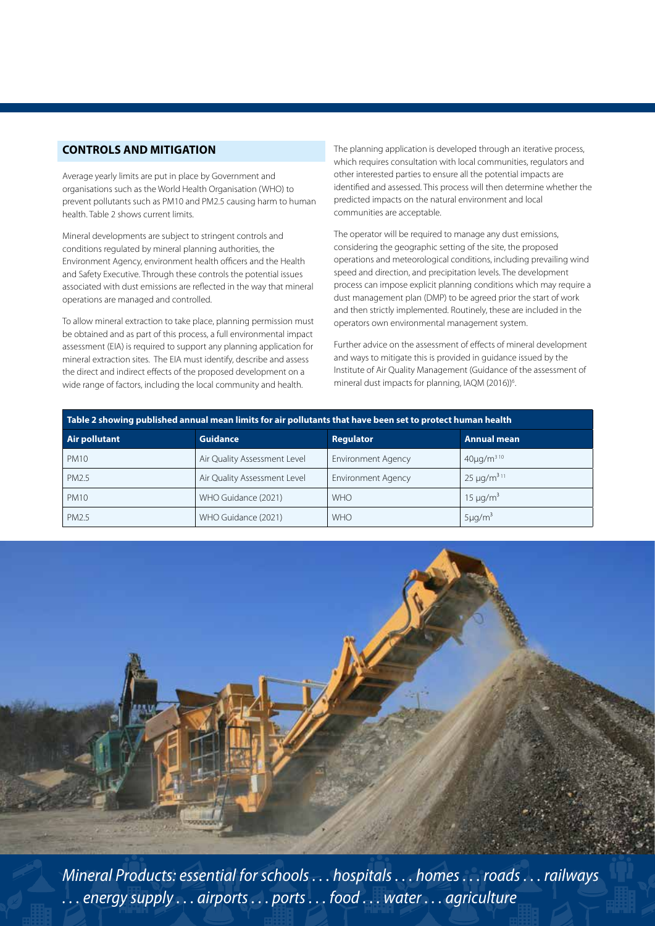### **CONTROLS AND MITIGATION**

Average yearly limits are put in place by Government and organisations such as the World Health Organisation (WHO) to prevent pollutants such as PM10 and PM2.5 causing harm to human health. Table 2 shows current limits.

Mineral developments are subject to stringent controls and conditions regulated by mineral planning authorities, the Environment Agency, environment health officers and the Health and Safety Executive. Through these controls the potential issues associated with dust emissions are reflected in the way that mineral operations are managed and controlled.

To allow mineral extraction to take place, planning permission must be obtained and as part of this process, a full environmental impact assessment (EIA) is required to support any planning application for mineral extraction sites. The EIA must identify, describe and assess the direct and indirect effects of the proposed development on a wide range of factors, including the local community and health.

The planning application is developed through an iterative process, which requires consultation with local communities, regulators and other interested parties to ensure all the potential impacts are identified and assessed. This process will then determine whether the predicted impacts on the natural environment and local communities are acceptable.

The operator will be required to manage any dust emissions, considering the geographic setting of the site, the proposed operations and meteorological conditions, including prevailing wind speed and direction, and precipitation levels. The development process can impose explicit planning conditions which may require a dust management plan (DMP) to be agreed prior the start of work and then strictly implemented. Routinely, these are included in the operators own environmental management system.

Further advice on the assessment of effects of mineral development and ways to mitigate this is provided in guidance issued by the Institute of Air Quality Management (Guidance of the assessment of mineral dust impacts for planning, IAQM (2016))<sup>6</sup>. .

| Table 2 showing published annual mean limits for air pollutants that have been set to protect human health |                              |                           |                    |  |  |
|------------------------------------------------------------------------------------------------------------|------------------------------|---------------------------|--------------------|--|--|
| Air pollutant                                                                                              | <b>Guidance</b>              | Regulator                 | <b>Annual mean</b> |  |  |
| <b>PM10</b>                                                                                                | Air Quality Assessment Level | <b>Environment Agency</b> | $40\mu q/m^{310}$  |  |  |
| PM2.5                                                                                                      | Air Quality Assessment Level | <b>Environment Agency</b> | $25 \mu q/m^{311}$ |  |  |
| <b>PM10</b>                                                                                                | WHO Guidance (2021)          | <b>WHO</b>                | $15 \mu q/m^3$     |  |  |
| PM2.5                                                                                                      | WHO Guidance (2021)          | <b>WHO</b>                | $5 \mu g/m^3$      |  |  |

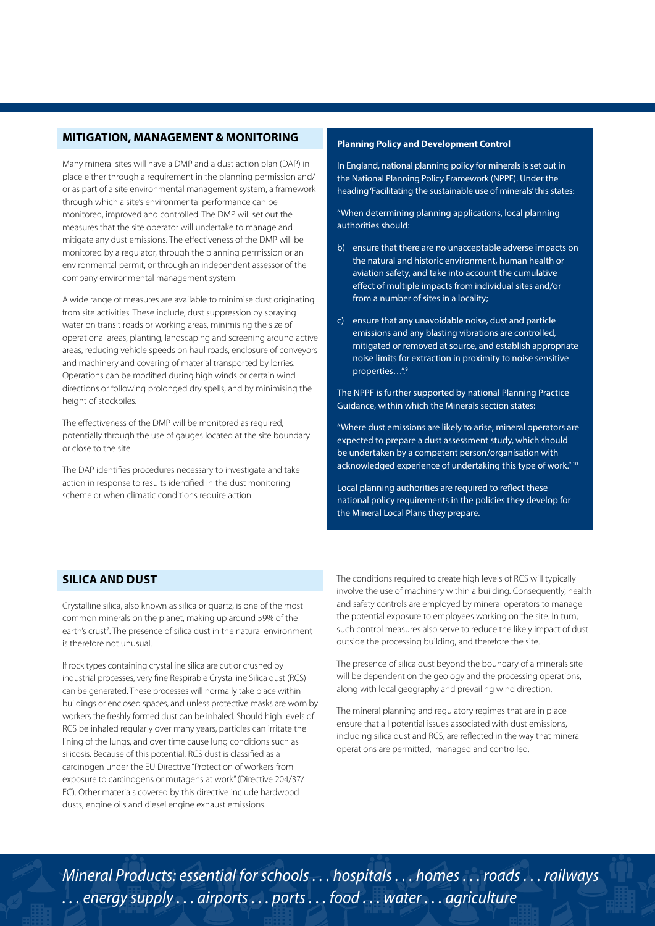# **MITIGATION, MANAGEMENT & MONITORING**

Many mineral sites will have a DMP and a dust action plan (DAP) in place either through a requirement in the planning permission and/ or as part of a site environmental management system, a framework through which a site's environmental performance can be monitored, improved and controlled. The DMP will set out the measures that the site operator will undertake to manage and mitigate any dust emissions. The effectiveness of the DMP will be monitored by a regulator, through the planning permission or an environmental permit, or through an independent assessor of the company environmental management system.

A wide range of measures are available to minimise dust originating from site activities. These include, dust suppression by spraying water on transit roads or working areas, minimising the size of operational areas, planting, landscaping and screening around active areas, reducing vehicle speeds on haul roads, enclosure of conveyors and machinery and covering of material transported by lorries. Operations can be modified during high winds or certain wind directions or following prolonged dry spells, and by minimising the height of stockpiles.

The effectiveness of the DMP will be monitored as required, potentially through the use of gauges located at the site boundary or close to the site.

The DAP identifies procedures necessary to investigate and take action in response to results identified in the dust monitoring scheme or when climatic conditions require action.

### **Planning Policy and Development Control**

In England, national planning policy for minerals is set out in the National Planning Policy Framework (NPPF). Under the heading 'Facilitating the sustainable use of minerals' this states:

"When determining planning applications, local planning authorities should:

- b) ensure that there are no unacceptable adverse impacts on the natural and historic environment, human health or aviation safety, and take into account the cumulative effect of multiple impacts from individual sites and/or from a number of sites in a locality;
- c) ensure that any unavoidable noise, dust and particle emissions and any blasting vibrations are controlled, mitigated or removed at source, and establish appropriate noise limits for extraction in proximity to noise sensitive properties...".<sup>9</sup>

The NPPF is further supported by national Planning Practice Guidance, within which the Minerals section states:

"Where dust emissions are likely to arise, mineral operators are expected to prepare a dust assessment study, which should be undertaken by a competent person/organisation with acknowledged experience of undertaking this type of work."<sup>10</sup>

Local planning authorities are required to reflect these national policy requirements in the policies they develop for the Mineral Local Plans they prepare.

### **SILICA AND DUST**

Crystalline silica, also known as silica or quartz, is one of the most common minerals on the planet, making up around 59% of the earth's crust<sup>7</sup>. The presence of silica dust in the natural environment is therefore not unusual.

If rock types containing crystalline silica are cut or crushed by industrial processes, very fine Respirable Crystalline Silica dust (RCS) can be generated. These processes will normally take place within buildings or enclosed spaces, and unless protective masks are worn by workers the freshly formed dust can be inhaled. Should high levels of RCS be inhaled regularly over many years, particles can irritate the lining of the lungs, and over time cause lung conditions such as silicosis. Because of this potential, RCS dust is classified as a carcinogen under the EU Directive "Protection of workers from exposure to carcinogens or mutagens at work" (Directive 204/37/ EC). Other materials covered by this directive include hardwood dusts, engine oils and diesel engine exhaust emissions.

The conditions required to create high levels of RCS will typically involve the use of machinery within a building. Consequently, health and safety controls are employed by mineral operators to manage the potential exposure to employees working on the site. In turn, such control measures also serve to reduce the likely impact of dust outside the processing building, and therefore the site.

The presence of silica dust beyond the boundary of a minerals site will be dependent on the geology and the processing operations, along with local geography and prevailing wind direction.

The mineral planning and regulatory regimes that are in place ensure that all potential issues associated with dust emissions, including silica dust and RCS, are reflected in the way that mineral operations are permitted, managed and controlled.